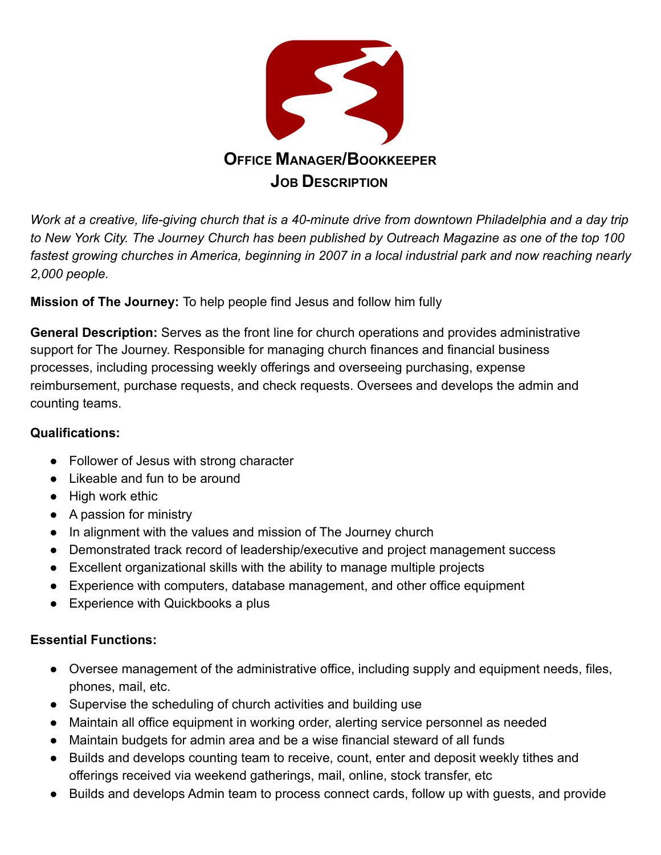

*Work at a creative, life-giving church that is a 40-minute drive from downtown Philadelphia and a day trip to New York City. The Journey Church has been published by Outreach Magazine as one of the top 100 fastest growing churches in America, beginning in 2007 in a local industrial park and now reaching nearly 2,000 people.*

**Mission of The Journey:** To help people find Jesus and follow him fully

**General Description:** Serves as the front line for church operations and provides administrative support for The Journey. Responsible for managing church finances and financial business processes, including processing weekly offerings and overseeing purchasing, expense reimbursement, purchase requests, and check requests. Oversees and develops the admin and counting teams.

## **Qualifications:**

- Follower of Jesus with strong character
- Likeable and fun to be around
- High work ethic
- A passion for ministry
- In alignment with the values and mission of The Journey church
- Demonstrated track record of leadership/executive and project management success
- Excellent organizational skills with the ability to manage multiple projects
- Experience with computers, database management, and other office equipment
- Experience with Quickbooks a plus

## **Essential Functions:**

- Oversee management of the administrative office, including supply and equipment needs, files, phones, mail, etc.
- Supervise the scheduling of church activities and building use
- Maintain all office equipment in working order, alerting service personnel as needed
- Maintain budgets for admin area and be a wise financial steward of all funds
- Builds and develops counting team to receive, count, enter and deposit weekly tithes and offerings received via weekend gatherings, mail, online, stock transfer, etc
- Builds and develops Admin team to process connect cards, follow up with guests, and provide